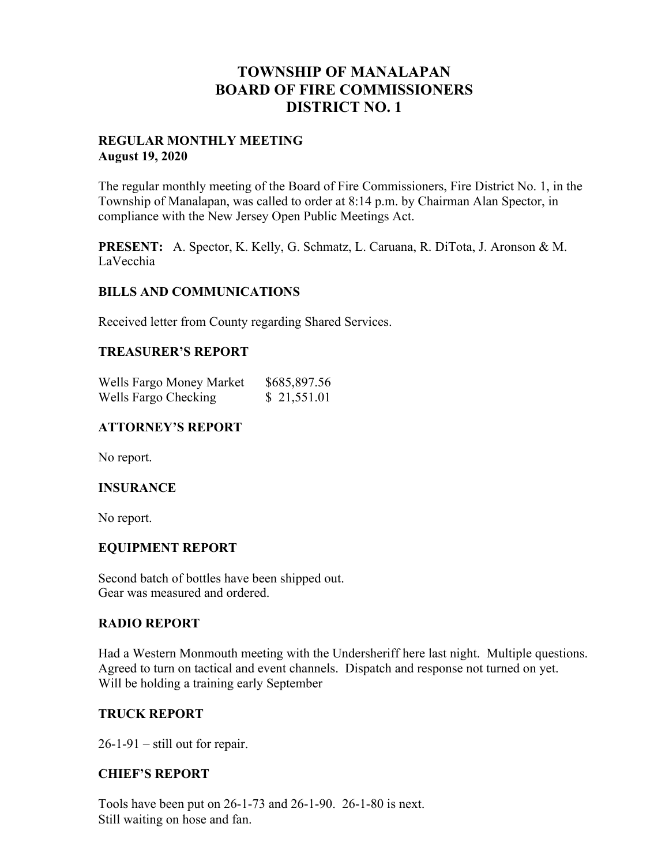# **TOWNSHIP OF MANALAPAN BOARD OF FIRE COMMISSIONERS DISTRICT NO. 1**

#### **REGULAR MONTHLY MEETING August 19, 2020**

The regular monthly meeting of the Board of Fire Commissioners, Fire District No. 1, in the Township of Manalapan, was called to order at 8:14 p.m. by Chairman Alan Spector, in compliance with the New Jersey Open Public Meetings Act.

**PRESENT:** A. Spector, K. Kelly, G. Schmatz, L. Caruana, R. DiTota, J. Aronson & M. LaVecchia

#### **BILLS AND COMMUNICATIONS**

Received letter from County regarding Shared Services.

## **TREASURER'S REPORT**

| Wells Fargo Money Market | \$685,897.56 |
|--------------------------|--------------|
| Wells Fargo Checking     | \$21,551.01  |

# **ATTORNEY'S REPORT**

No report.

### **INSURANCE**

No report.

## **EQUIPMENT REPORT**

Second batch of bottles have been shipped out. Gear was measured and ordered.

#### **RADIO REPORT**

Had a Western Monmouth meeting with the Undersheriff here last night. Multiple questions. Agreed to turn on tactical and event channels. Dispatch and response not turned on yet. Will be holding a training early September

#### **TRUCK REPORT**

 $26-1-91$  – still out for repair.

#### **CHIEF'S REPORT**

Tools have been put on 26-1-73 and 26-1-90. 26-1-80 is next. Still waiting on hose and fan.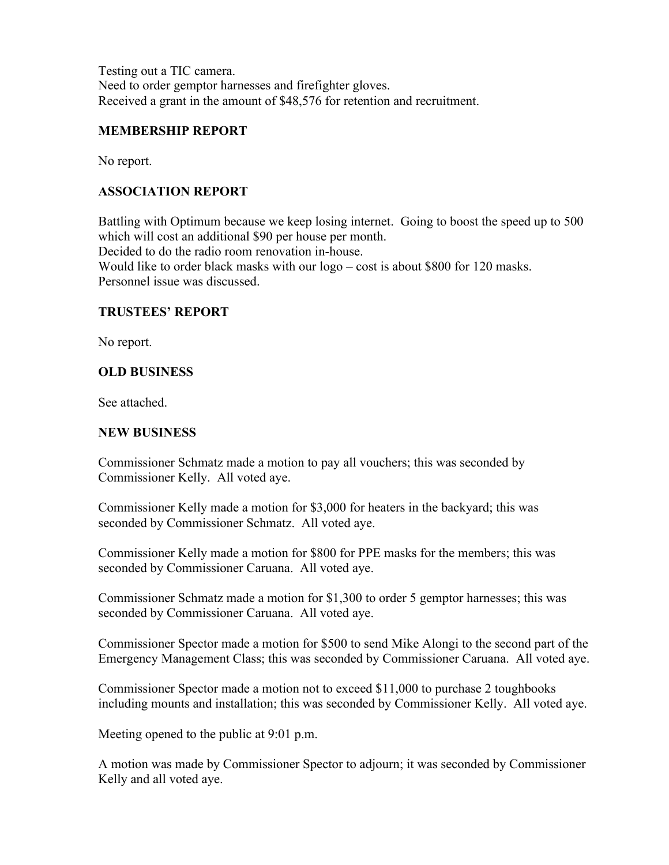Testing out a TIC camera. Need to order gemptor harnesses and firefighter gloves. Received a grant in the amount of \$48,576 for retention and recruitment.

### **MEMBERSHIP REPORT**

No report.

# **ASSOCIATION REPORT**

Battling with Optimum because we keep losing internet. Going to boost the speed up to 500 which will cost an additional \$90 per house per month.

Decided to do the radio room renovation in-house.

Would like to order black masks with our logo – cost is about \$800 for 120 masks. Personnel issue was discussed.

## **TRUSTEES' REPORT**

No report.

## **OLD BUSINESS**

See attached.

## **NEW BUSINESS**

Commissioner Schmatz made a motion to pay all vouchers; this was seconded by Commissioner Kelly. All voted aye.

Commissioner Kelly made a motion for \$3,000 for heaters in the backyard; this was seconded by Commissioner Schmatz. All voted aye.

Commissioner Kelly made a motion for \$800 for PPE masks for the members; this was seconded by Commissioner Caruana. All voted aye.

Commissioner Schmatz made a motion for \$1,300 to order 5 gemptor harnesses; this was seconded by Commissioner Caruana. All voted aye.

Commissioner Spector made a motion for \$500 to send Mike Alongi to the second part of the Emergency Management Class; this was seconded by Commissioner Caruana. All voted aye.

Commissioner Spector made a motion not to exceed \$11,000 to purchase 2 toughbooks including mounts and installation; this was seconded by Commissioner Kelly. All voted aye.

Meeting opened to the public at 9:01 p.m.

A motion was made by Commissioner Spector to adjourn; it was seconded by Commissioner Kelly and all voted aye.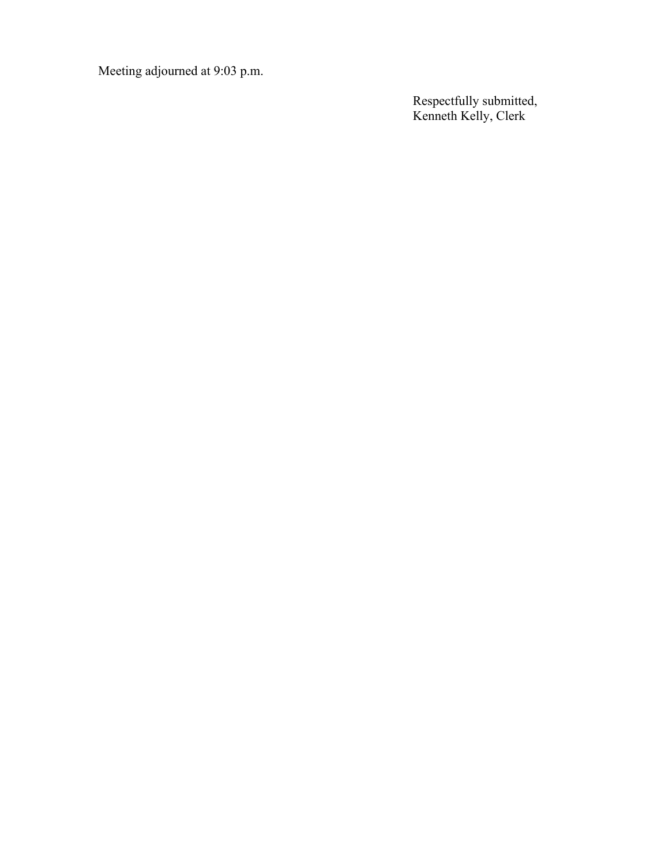Meeting adjourned at 9:03 p.m.

**Respectfully submitted,** Kenneth Kelly, Clerk